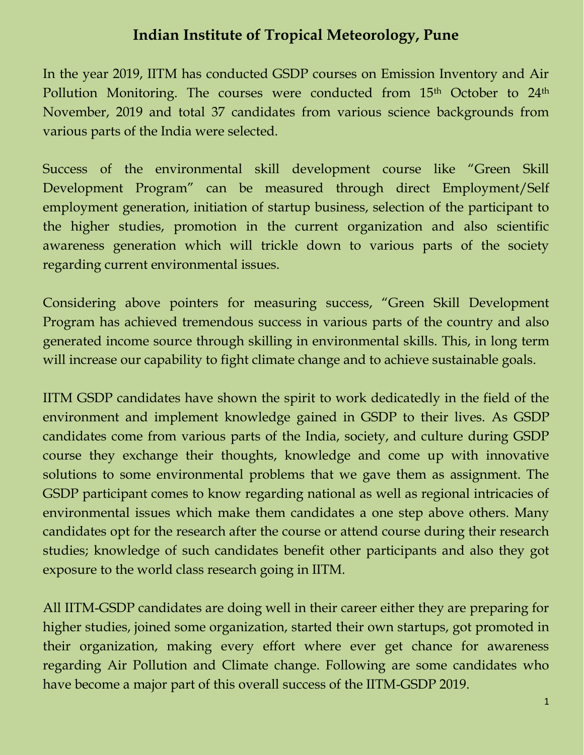# **Indian Institute of Tropical Meteorology, Pune**

In the year 2019, IITM has conducted GSDP courses on Emission Inventory and Air Pollution Monitoring. The courses were conducted from 15<sup>th</sup> October to 24<sup>th</sup> November, 2019 and total 37 candidates from various science backgrounds from various parts of the India were selected.

Success of the environmental skill development course like "Green Skill Development Program" can be measured through direct Employment/Self employment generation, initiation of startup business, selection of the participant to the higher studies, promotion in the current organization and also scientific awareness generation which will trickle down to various parts of the society regarding current environmental issues.

Considering above pointers for measuring success, "Green Skill Development Program has achieved tremendous success in various parts of the country and also generated income source through skilling in environmental skills. This, in long term will increase our capability to fight climate change and to achieve sustainable goals.

IITM GSDP candidates have shown the spirit to work dedicatedly in the field of the environment and implement knowledge gained in GSDP to their lives. As GSDP candidates come from various parts of the India, society, and culture during GSDP course they exchange their thoughts, knowledge and come up with innovative solutions to some environmental problems that we gave them as assignment. The GSDP participant comes to know regarding national as well as regional intricacies of environmental issues which make them candidates a one step above others. Many candidates opt for the research after the course or attend course during their research studies; knowledge of such candidates benefit other participants and also they got exposure to the world class research going in IITM.

All IITM-GSDP candidates are doing well in their career either they are preparing for higher studies, joined some organization, started their own startups, got promoted in their organization, making every effort where ever get chance for awareness regarding Air Pollution and Climate change. Following are some candidates who have become a major part of this overall success of the IITM-GSDP 2019.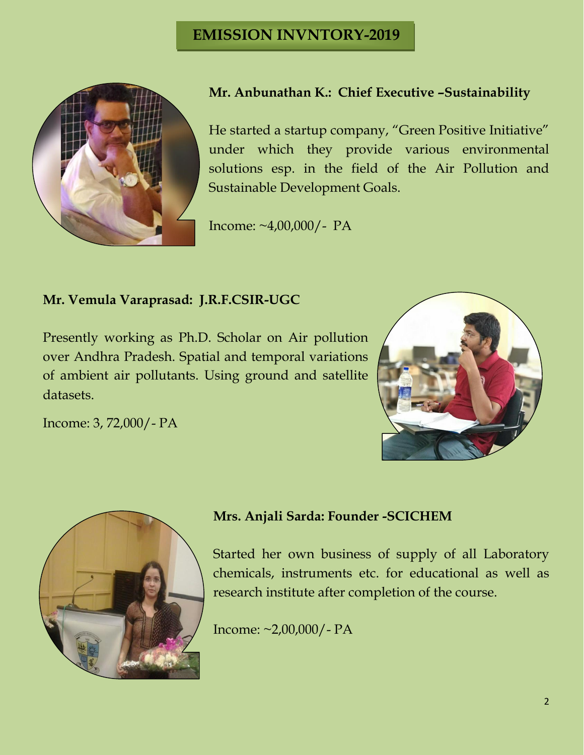

## **Mr. Anbunathan K.: Chief Executive –Sustainability**

He started a startup company, "Green Positive Initiative" under which they provide various environmental solutions esp. in the field of the Air Pollution and Sustainable Development Goals.

Income: ~4,00,000/- PA

#### **Mr. Vemula Varaprasad: J.R.F.CSIR-UGC**

Presently working as Ph.D. Scholar on Air pollution over Andhra Pradesh. Spatial and temporal variations of ambient air pollutants. Using ground and satellite datasets.



Income: 3, 72,000/- PA



## **Mrs. Anjali Sarda: Founder -SCICHEM**

Started her own business of supply of all Laboratory chemicals, instruments etc. for educational as well as research institute after completion of the course.

Income: ~2,00,000/- PA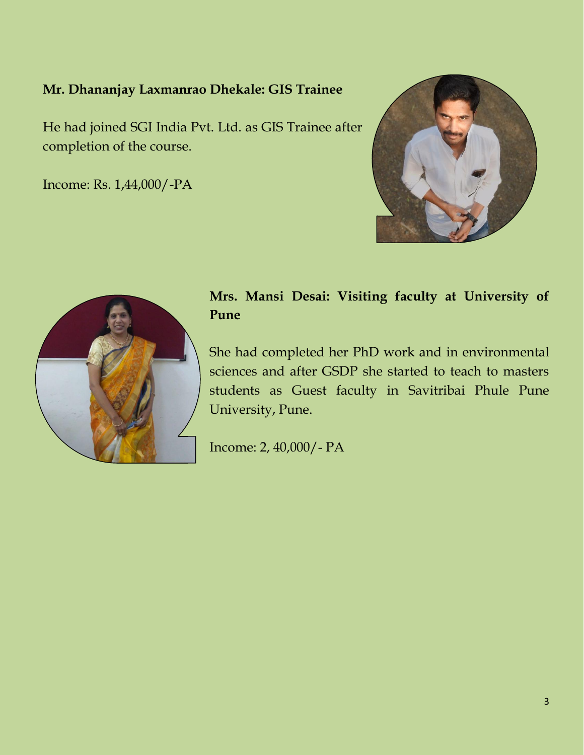#### **Mr. Dhananjay Laxmanrao Dhekale: GIS Trainee**

He had joined SGI India Pvt. Ltd. as GIS Trainee after completion of the course.

Income: Rs. 1,44,000/-PA





## **Mrs. Mansi Desai: Visiting faculty at University of Pune**

She had completed her PhD work and in environmental sciences and after GSDP she started to teach to masters students as Guest faculty in Savitribai Phule Pune University, Pune.

Income: 2, 40,000/- PA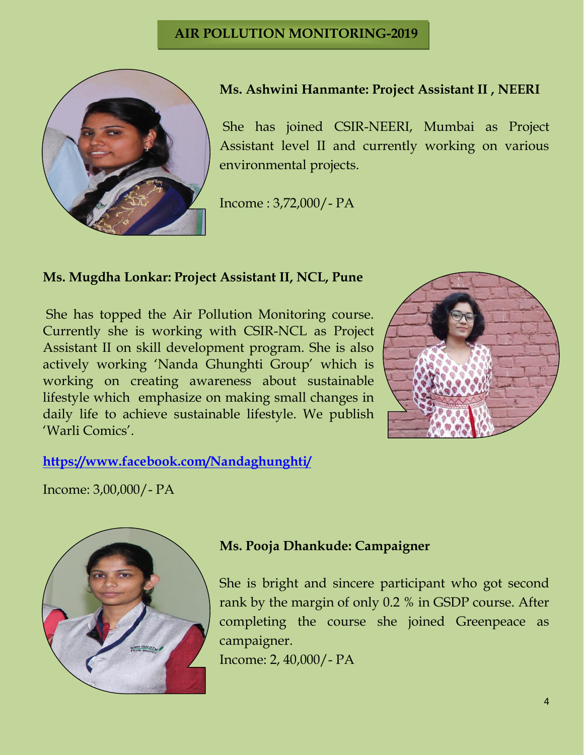

#### **Ms. Ashwini Hanmante: Project Assistant II , NEERI**

She has joined CSIR-NEERI, Mumbai as Project Assistant level II and currently working on various environmental projects.

Income : 3,72,000/- PA

#### **Ms. Mugdha Lonkar: Project Assistant II, NCL, Pune**

She has topped the Air Pollution Monitoring course. Currently she is working with CSIR-NCL as Project Assistant II on skill development program. She is also actively working 'Nanda Ghunghti Group' which is working on creating awareness about sustainable lifestyle which emphasize on making small changes in daily life to achieve sustainable lifestyle. We publish 'Warli Comics'.



#### **<https://www.facebook.com/Nandaghunghti/>**

Income: 3,00,000/- PA



#### **Ms. Pooja Dhankude: Campaigner**

She is bright and sincere participant who got second rank by the margin of only 0.2 % in GSDP course. After completing the course she joined Greenpeace as campaigner.

Income: 2, 40,000/- PA